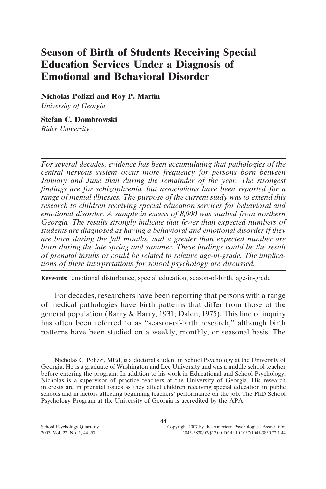# **Season of Birth of Students Receiving Special Education Services Under a Diagnosis of Emotional and Behavioral Disorder**

**Nicholas Polizzi and Roy P. Martin** *University of Georgia*

**Stefan C. Dombrowski** *Rider University*

*For several decades, evidence has been accumulating that pathologies of the central nervous system occur more frequency for persons born between January and June than during the remainder of the year. The strongest findings are for schizophrenia, but associations have been reported for a range of mental illnesses. The purpose of the current study was to extend this research to children receiving special education services for behavioral and emotional disorder. A sample in excess of 8,000 was studied from northern Georgia. The results strongly indicate that fewer than expected numbers of students are diagnosed as having a behavioral and emotional disorder if they are born during the fall months, and a greater than expected number are born during the late spring and summer. These findings could be the result of prenatal insults or could be related to relative age-in-grade. The implications of these interpretations for school psychology are discussed.*

**Keywords:** emotional disturbance, special education, season-of-birth, age-in-grade

For decades, researchers have been reporting that persons with a range of medical pathologies have birth patterns that differ from those of the general population (Barry & Barry, 1931; Dalen, 1975). This line of inquiry has often been referred to as "season-of-birth research," although birth patterns have been studied on a weekly, monthly, or seasonal basis. The

Nicholas C. Polizzi, MEd, is a doctoral student in School Psychology at the University of Georgia. He is a graduate of Washington and Lee University and was a middle school teacher before entering the program. In addition to his work in Educational and School Psychology, Nicholas is a supervisor of practice teachers at the University of Georgia. His research interests are in prenatal issues as they affect children receiving special education in public schools and in factors affecting beginning teachers' performance on the job. The PhD School Psychology Program at the University of Georgia is accredited by the APA.

School Psychology Quarterly Copyright 2007 by the American Psychological Association 2007, Vol. 22, No. 1, 44–57 1045-3830/07/\$12.00 DOI: 10.1037/1045-3830.22.1.44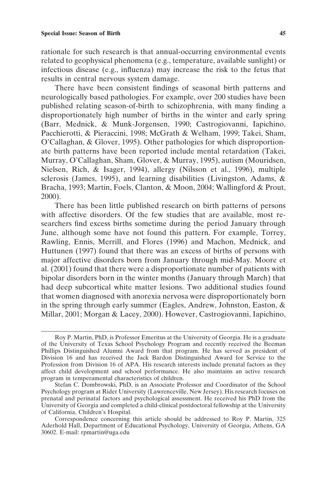rationale for such research is that annual-occurring environmental events related to geophysical phenomena (e.g., temperature, available sunlight) or infectious disease (e.g., influenza) may increase the risk to the fetus that results in central nervous system damage.

There have been consistent findings of seasonal birth patterns and neurologically based pathologies. For example, over 200 studies have been published relating season-of-birth to schizophrenia, with many finding a disproportionately high number of births in the winter and early spring (Barr, Mednick, & Munk-Jorgensen, 1990; Castrogiovanni, Iapichino, Pacchierotti, & Pieraccini, 1998; McGrath & Welham, 1999; Takei, Sham, O'Callaghan, & Glover, 1995). Other pathologies for which disproportionate birth patterns have been reported include mental retardation (Takei, Murray, O'Callaghan, Sham, Glover, & Murray, 1995), autism (Mouridsen, Nielsen, Rich, & Isager, 1994), allergy (Nilsson et al., 1996), multiple sclerosis (James, 1995), and learning disabilities (Livingston, Adams, & Bracha, 1993; Martin, Foels, Clanton, & Moon, 2004; Wallingford & Prout, 2000).

There has been little published research on birth patterns of persons with affective disorders. Of the few studies that are available, most researchers find excess births sometime during the period January through June, although some have not found this pattern. For example, Torrey, Rawling, Ennis, Merrill, and Flores (1996) and Machon, Mednick, and Huttunen (1997) found that there was an excess of births of persons with major affective disorders born from January through mid-May. Moore et al. (2001) found that there were a disproportionate number of patients with bipolar disorders born in the winter months (January through March) that had deep subcortical white matter lesions. Two additional studies found that women diagnosed with anorexia nervosa were disproportionately born in the spring through early summer (Eagles, Andrew, Johnston, Easton, & Millar, 2001; Morgan & Lacey, 2000). However, Castrogiovanni, Iapichino,

Roy P. Martin, PhD, is Professor Emeritus at the University of Georgia. He is a graduate of the University of Texas School Psychology Program and recently received the Beeman Phillips Distinguished Alumni Award from that program. He has served as president of Division 16 and has received the Jack Bardon Distinguished Award for Service to the Profession from Division 16 of APA. His research interests include prenatal factors as they affect child development and school performance. He also maintains an active research program in temperamental characteristics of children.

Stefan C. Dombrowski, PhD, is an Associate Professor and Coordinator of the School Psychology program at Rider University (Lawrenceville, New Jersey). His research focuses on prenatal and perinatal factors and psychological assessment. He received his PhD from the University of Georgia and completed a child-clinical postdoctoral fellowship at the University of California, Children's Hospital.

Correspondence concerning this article should be addressed to Roy P. Martin, 325 Aderhold Hall, Department of Educational Psychology, University of Georgia, Athens, GA 30602. E-mail: rpmartin@uga.edu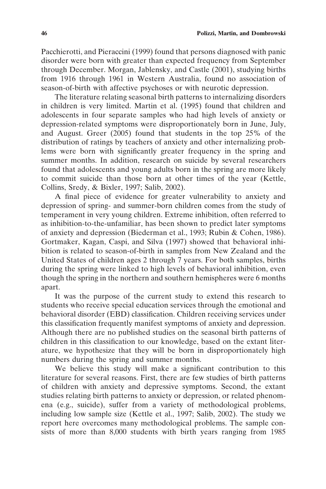Pacchierotti, and Pieraccini (1999) found that persons diagnosed with panic disorder were born with greater than expected frequency from September through December. Morgan, Jablensky, and Castle (2001), studying births from 1916 through 1961 in Western Australia, found no association of season-of-birth with affective psychoses or with neurotic depression.

The literature relating seasonal birth patterns to internalizing disorders in children is very limited. Martin et al. (1995) found that children and adolescents in four separate samples who had high levels of anxiety or depression-related symptoms were disproportionately born in June, July, and August. Greer (2005) found that students in the top 25% of the distribution of ratings by teachers of anxiety and other internalizing problems were born with significantly greater frequency in the spring and summer months. In addition, research on suicide by several researchers found that adolescents and young adults born in the spring are more likely to commit suicide than those born at other times of the year (Kettle, Collins, Sredy, & Bixler, 1997; Salib, 2002).

A final piece of evidence for greater vulnerability to anxiety and depression of spring- and summer-born children comes from the study of temperament in very young children. Extreme inhibition, often referred to as inhibition-to-the-unfamiliar, has been shown to predict later symptoms of anxiety and depression (Biederman et al., 1993; Rubin & Cohen, 1986). Gortmaker, Kagan, Caspi, and Silva (1997) showed that behavioral inhibition is related to season-of-birth in samples from New Zealand and the United States of children ages 2 through 7 years. For both samples, births during the spring were linked to high levels of behavioral inhibition, even though the spring in the northern and southern hemispheres were 6 months apart.

It was the purpose of the current study to extend this research to students who receive special education services through the emotional and behavioral disorder (EBD) classification. Children receiving services under this classification frequently manifest symptoms of anxiety and depression. Although there are no published studies on the seasonal birth patterns of children in this classification to our knowledge, based on the extant literature, we hypothesize that they will be born in disproportionately high numbers during the spring and summer months.

We believe this study will make a significant contribution to this literature for several reasons. First, there are few studies of birth patterns of children with anxiety and depressive symptoms. Second, the extant studies relating birth patterns to anxiety or depression, or related phenomena (e.g., suicide), suffer from a variety of methodological problems, including low sample size (Kettle et al., 1997; Salib, 2002). The study we report here overcomes many methodological problems. The sample consists of more than 8,000 students with birth years ranging from 1985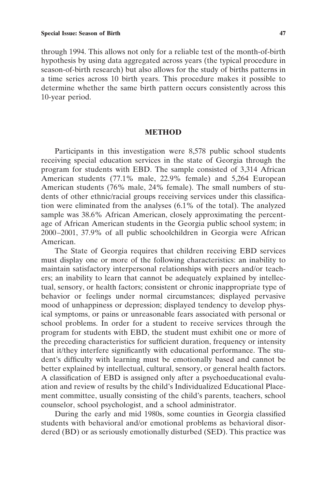through 1994. This allows not only for a reliable test of the month-of-birth hypothesis by using data aggregated across years (the typical procedure in season-of-birth research) but also allows for the study of births patterns in a time series across 10 birth years. This procedure makes it possible to determine whether the same birth pattern occurs consistently across this 10-year period.

### **METHOD**

Participants in this investigation were 8,578 public school students receiving special education services in the state of Georgia through the program for students with EBD. The sample consisted of 3,314 African American students (77.1% male, 22.9% female) and 5,264 European American students (76% male, 24% female). The small numbers of students of other ethnic/racial groups receiving services under this classification were eliminated from the analyses (6.1% of the total). The analyzed sample was 38.6% African American, closely approximating the percentage of African American students in the Georgia public school system; in 2000–2001, 37.9% of all public schoolchildren in Georgia were African American.

The State of Georgia requires that children receiving EBD services must display one or more of the following characteristics: an inability to maintain satisfactory interpersonal relationships with peers and/or teachers; an inability to learn that cannot be adequately explained by intellectual, sensory, or health factors; consistent or chronic inappropriate type of behavior or feelings under normal circumstances; displayed pervasive mood of unhappiness or depression; displayed tendency to develop physical symptoms, or pains or unreasonable fears associated with personal or school problems. In order for a student to receive services through the program for students with EBD, the student must exhibit one or more of the preceding characteristics for sufficient duration, frequency or intensity that it/they interfere significantly with educational performance. The student's difficulty with learning must be emotionally based and cannot be better explained by intellectual, cultural, sensory, or general health factors. A classification of EBD is assigned only after a psychoeducational evaluation and review of results by the child's Individualized Educational Placement committee, usually consisting of the child's parents, teachers, school counselor, school psychologist, and a school administrator.

During the early and mid 1980s, some counties in Georgia classified students with behavioral and/or emotional problems as behavioral disordered (BD) or as seriously emotionally disturbed (SED). This practice was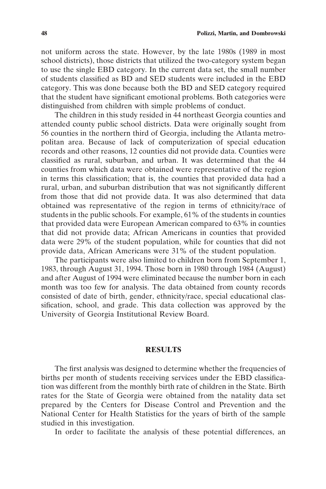not uniform across the state. However, by the late 1980s (1989 in most school districts), those districts that utilized the two-category system began to use the single EBD category. In the current data set, the small number of students classified as BD and SED students were included in the EBD category. This was done because both the BD and SED category required that the student have significant emotional problems. Both categories were distinguished from children with simple problems of conduct.

The children in this study resided in 44 northeast Georgia counties and attended county public school districts. Data were originally sought from 56 counties in the northern third of Georgia, including the Atlanta metropolitan area. Because of lack of computerization of special education records and other reasons, 12 counties did not provide data. Counties were classified as rural, suburban, and urban. It was determined that the 44 counties from which data were obtained were representative of the region in terms this classification; that is, the counties that provided data had a rural, urban, and suburban distribution that was not significantly different from those that did not provide data. It was also determined that data obtained was representative of the region in terms of ethnicity/race of students in the public schools. For example, 61% of the students in counties that provided data were European American compared to 63% in counties that did not provide data; African Americans in counties that provided data were 29% of the student population, while for counties that did not provide data, African Americans were 31% of the student population.

The participants were also limited to children born from September 1, 1983, through August 31, 1994. Those born in 1980 through 1984 (August) and after August of 1994 were eliminated because the number born in each month was too few for analysis. The data obtained from county records consisted of date of birth, gender, ethnicity/race, special educational classification, school, and grade. This data collection was approved by the University of Georgia Institutional Review Board.

# **RESULTS**

The first analysis was designed to determine whether the frequencies of births per month of students receiving services under the EBD classification was different from the monthly birth rate of children in the State. Birth rates for the State of Georgia were obtained from the natality data set prepared by the Centers for Disease Control and Prevention and the National Center for Health Statistics for the years of birth of the sample studied in this investigation.

In order to facilitate the analysis of these potential differences, an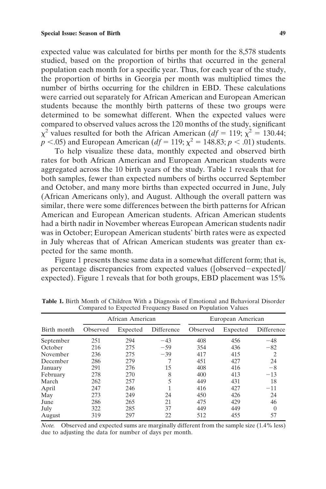expected value was calculated for births per month for the 8,578 students studied, based on the proportion of births that occurred in the general population each month for a specific year. Thus, for each year of the study, the proportion of births in Georgia per month was multiplied times the number of births occurring for the children in EBD. These calculations were carried out separately for African American and European American students because the monthly birth patterns of these two groups were determined to be somewhat different. When the expected values were compared to observed values across the 120 months of the study, significant  $\chi^2$  values resulted for both the African American (*df* = 119;  $\chi^2$  = 130.44;  $p$  <.05) and European American (*df* = 119;  $\chi^2$  = 148.83; *p* < .01) students.

To help visualize these data, monthly expected and observed birth rates for both African American and European American students were aggregated across the 10 birth years of the study. Table 1 reveals that for both samples, fewer than expected numbers of births occurred September and October, and many more births than expected occurred in June, July (African Americans only), and August. Although the overall pattern was similar, there were some differences between the birth patterns for African American and European American students. African American students had a birth nadir in November whereas European American students nadir was in October; European American students' birth rates were as expected in July whereas that of African American students was greater than expected for the same month.

Figure 1 presents these same data in a somewhat different form; that is, as percentage discrepancies from expected values ([observed-expected]/ expected). Figure 1 reveals that for both groups, EBD placement was 15%

| Birth month | African American |          |            | European American |          |            |
|-------------|------------------|----------|------------|-------------------|----------|------------|
|             | Observed         | Expected | Difference | Observed          | Expected | Difference |
| September   | 251              | 294      | $-43$      | 408               | 456      | $-48$      |
| October     | 216              | 275      | $-59$      | 354               | 436      | $-82$      |
| November    | 236              | 275      | $-39$      | 417               | 415      | 2          |
| December    | 286              | 279      |            | 451               | 427      | 24         |
| January     | 291              | 276      | 15         | 408               | 416      | $-8$       |
| February    | 278              | 270      | 8          | 400               | 413      | $-13$      |
| March       | 262              | 257      | 5          | 449               | 431      | 18         |
| April       | 247              | 246      |            | 416               | 427      | $-11$      |
| May         | 273              | 249      | 24         | 450               | 426      | 24         |
| June        | 286              | 265      | 21         | 475               | 429      | 46         |
| July        | 322              | 285      | 37         | 449               | 449      | $\Omega$   |
| August      | 319              | 297      | 22         | 512               | 455      | 57         |

**Table 1.** Birth Month of Children With a Diagnosis of Emotional and Behavioral Disorder Compared to Expected Frequency Based on Population Values

*Note.* Observed and expected sums are marginally different from the sample size (1.4% less) due to adjusting the data for number of days per month.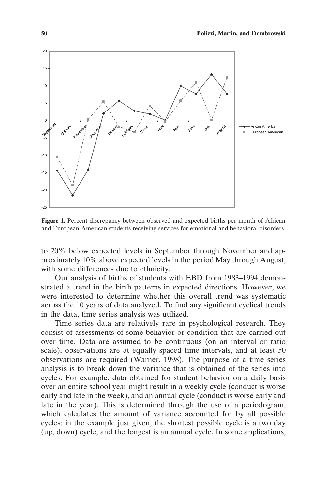

**Figure 1.** Percent discrepancy between observed and expected births per month of African and European American students receiving services for emotional and behavioral disorders.

to 20% below expected levels in September through November and approximately 10% above expected levels in the period May through August, with some differences due to ethnicity.

Our analysis of births of students with EBD from 1983–1994 demonstrated a trend in the birth patterns in expected directions. However, we were interested to determine whether this overall trend was systematic across the 10 years of data analyzed. To find any significant cyclical trends in the data, time series analysis was utilized.

Time series data are relatively rare in psychological research. They consist of assessments of some behavior or condition that are carried out over time. Data are assumed to be continuous (on an interval or ratio scale), observations are at equally spaced time intervals, and at least 50 observations are required (Warner, 1998). The purpose of a time series analysis is to break down the variance that is obtained of the series into cycles. For example, data obtained for student behavior on a daily basis over an entire school year might result in a weekly cycle (conduct is worse early and late in the week), and an annual cycle (conduct is worse early and late in the year). This is determined through the use of a periodogram, which calculates the amount of variance accounted for by all possible cycles; in the example just given, the shortest possible cycle is a two day (up, down) cycle, and the longest is an annual cycle. In some applications,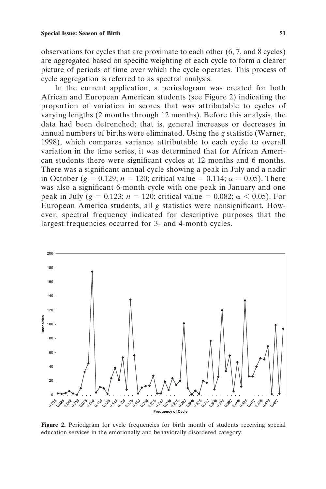observations for cycles that are proximate to each other (6, 7, and 8 cycles) are aggregated based on specific weighting of each cycle to form a clearer picture of periods of time over which the cycle operates. This process of cycle aggregation is referred to as spectral analysis.

In the current application, a periodogram was created for both African and European American students (see Figure 2) indicating the proportion of variation in scores that was attributable to cycles of varying lengths (2 months through 12 months). Before this analysis, the data had been detrenched; that is, general increases or decreases in annual numbers of births were eliminated. Using the *g* statistic (Warner, 1998), which compares variance attributable to each cycle to overall variation in the time series, it was determined that for African American students there were significant cycles at 12 months and 6 months. There was a significant annual cycle showing a peak in July and a nadir in October ( $g = 0.129$ ;  $n = 120$ ; critical value = 0.114;  $\alpha = 0.05$ ). There was also a significant 6-month cycle with one peak in January and one peak in July ( $g = 0.123$ ;  $n = 120$ ; critical value = 0.082;  $\alpha < 0.05$ ). For European America students, all *g* statistics were nonsignificant. However, spectral frequency indicated for descriptive purposes that the largest frequencies occurred for 3- and 4-month cycles.



Figure 2. Periodgram for cycle frequencies for birth month of students receiving special education services in the emotionally and behaviorally disordered category.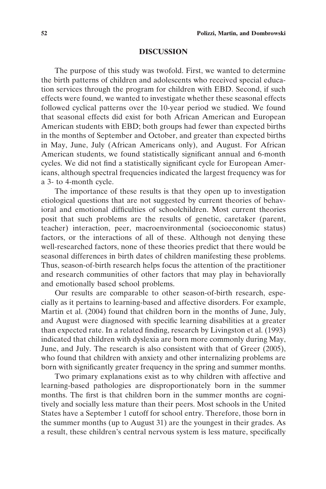#### **DISCUSSION**

The purpose of this study was twofold. First, we wanted to determine the birth patterns of children and adolescents who received special education services through the program for children with EBD. Second, if such effects were found, we wanted to investigate whether these seasonal effects followed cyclical patterns over the 10-year period we studied. We found that seasonal effects did exist for both African American and European American students with EBD; both groups had fewer than expected births in the months of September and October, and greater than expected births in May, June, July (African Americans only), and August. For African American students, we found statistically significant annual and 6-month cycles. We did not find a statistically significant cycle for European Americans, although spectral frequencies indicated the largest frequency was for a 3- to 4-month cycle.

The importance of these results is that they open up to investigation etiological questions that are not suggested by current theories of behavioral and emotional difficulties of schoolchildren. Most current theories posit that such problems are the results of genetic, caretaker (parent, teacher) interaction, peer, macroenvironmental (socioeconomic status) factors, or the interactions of all of these. Although not denying these well-researched factors, none of these theories predict that there would be seasonal differences in birth dates of children manifesting these problems. Thus, season-of-birth research helps focus the attention of the practitioner and research communities of other factors that may play in behaviorally and emotionally based school problems.

Our results are comparable to other season-of-birth research, especially as it pertains to learning-based and affective disorders. For example, Martin et al. (2004) found that children born in the months of June, July, and August were diagnosed with specific learning disabilities at a greater than expected rate. In a related finding, research by Livingston et al. (1993) indicated that children with dyslexia are born more commonly during May, June, and July. The research is also consistent with that of Greer (2005), who found that children with anxiety and other internalizing problems are born with significantly greater frequency in the spring and summer months.

Two primary explanations exist as to why children with affective and learning-based pathologies are disproportionately born in the summer months. The first is that children born in the summer months are cognitively and socially less mature than their peers. Most schools in the United States have a September 1 cutoff for school entry. Therefore, those born in the summer months (up to August 31) are the youngest in their grades. As a result, these children's central nervous system is less mature, specifically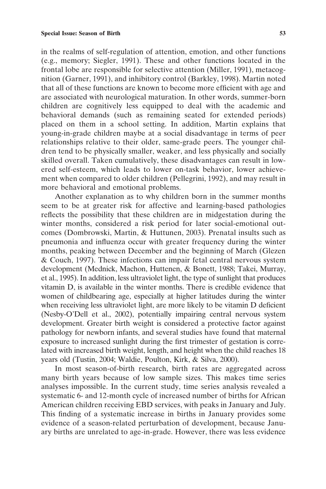in the realms of self-regulation of attention, emotion, and other functions (e.g., memory; Siegler, 1991). These and other functions located in the frontal lobe are responsible for selective attention (Miller, 1991), metacognition (Garner, 1991), and inhibitory control (Barkley, 1998). Martin noted that all of these functions are known to become more efficient with age and are associated with neurological maturation. In other words, summer-born children are cognitively less equipped to deal with the academic and behavioral demands (such as remaining seated for extended periods) placed on them in a school setting. In addition, Martin explains that young-in-grade children maybe at a social disadvantage in terms of peer relationships relative to their older, same-grade peers. The younger children tend to be physically smaller, weaker, and less physically and socially skilled overall. Taken cumulatively, these disadvantages can result in lowered self-esteem, which leads to lower on-task behavior, lower achievement when compared to older children (Pellegrini, 1992), and may result in more behavioral and emotional problems.

Another explanation as to why children born in the summer months seem to be at greater risk for affective and learning-based pathologies reflects the possibility that these children are in midgestation during the winter months, considered a risk period for later social-emotional outcomes (Dombrowski, Martin, & Huttunen, 2003). Prenatal insults such as pneumonia and influenza occur with greater frequency during the winter months, peaking between December and the beginning of March (Glezen & Couch, 1997). These infections can impair fetal central nervous system development (Mednick, Machon, Huttenen, & Bonett, 1988; Takei, Murray, et al., 1995). In addition, less ultraviolet light, the type of sunlight that produces vitamin D, is available in the winter months. There is credible evidence that women of childbearing age, especially at higher latitudes during the winter when receiving less ultraviolet light, are more likely to be vitamin D deficient (Nesby-O'Dell et al., 2002), potentially impairing central nervous system development. Greater birth weight is considered a protective factor against pathology for newborn infants, and several studies have found that maternal exposure to increased sunlight during the first trimester of gestation is correlated with increased birth weight, length, and height when the child reaches 18 years old (Tustin, 2004; Waldie, Poulton, Kirk, & Silva, 2000).

In most season-of-birth research, birth rates are aggregated across many birth years because of low sample sizes. This makes time series analyses impossible. In the current study, time series analysis revealed a systematic 6- and 12-month cycle of increased number of births for African American children receiving EBD services, with peaks in January and July. This finding of a systematic increase in births in January provides some evidence of a season-related perturbation of development, because January births are unrelated to age-in-grade. However, there was less evidence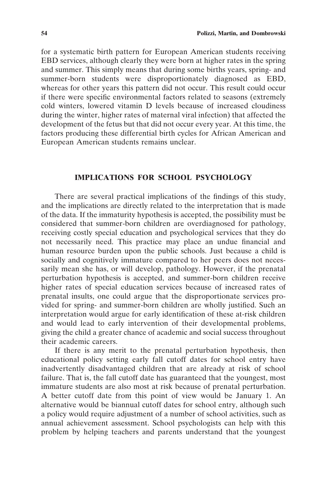for a systematic birth pattern for European American students receiving EBD services, although clearly they were born at higher rates in the spring and summer. This simply means that during some births years, spring- and summer-born students were disproportionately diagnosed as EBD, whereas for other years this pattern did not occur. This result could occur if there were specific environmental factors related to seasons (extremely cold winters, lowered vitamin D levels because of increased cloudiness during the winter, higher rates of maternal viral infection) that affected the development of the fetus but that did not occur every year. At this time, the factors producing these differential birth cycles for African American and European American students remains unclear.

# **IMPLICATIONS FOR SCHOOL PSYCHOLOGY**

There are several practical implications of the findings of this study, and the implications are directly related to the interpretation that is made of the data. If the immaturity hypothesis is accepted, the possibility must be considered that summer-born children are overdiagnosed for pathology, receiving costly special education and psychological services that they do not necessarily need. This practice may place an undue financial and human resource burden upon the public schools. Just because a child is socially and cognitively immature compared to her peers does not necessarily mean she has, or will develop, pathology. However, if the prenatal perturbation hypothesis is accepted, and summer-born children receive higher rates of special education services because of increased rates of prenatal insults, one could argue that the disproportionate services provided for spring- and summer-born children are wholly justified. Such an interpretation would argue for early identification of these at-risk children and would lead to early intervention of their developmental problems, giving the child a greater chance of academic and social success throughout their academic careers.

If there is any merit to the prenatal perturbation hypothesis, then educational policy setting early fall cutoff dates for school entry have inadvertently disadvantaged children that are already at risk of school failure. That is, the fall cutoff date has guaranteed that the youngest, most immature students are also most at risk because of prenatal perturbation. A better cutoff date from this point of view would be January 1. An alternative would be biannual cutoff dates for school entry, although such a policy would require adjustment of a number of school activities, such as annual achievement assessment. School psychologists can help with this problem by helping teachers and parents understand that the youngest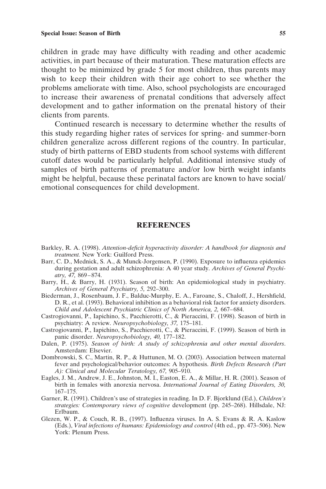children in grade may have difficulty with reading and other academic activities, in part because of their maturation. These maturation effects are thought to be minimized by grade 5 for most children, thus parents may wish to keep their children with their age cohort to see whether the problems ameliorate with time. Also, school psychologists are encouraged to increase their awareness of prenatal conditions that adversely affect development and to gather information on the prenatal history of their clients from parents.

Continued research is necessary to determine whether the results of this study regarding higher rates of services for spring- and summer-born children generalize across different regions of the country. In particular, study of birth patterns of EBD students from school systems with different cutoff dates would be particularly helpful. Additional intensive study of samples of birth patterns of premature and/or low birth weight infants might be helpful, because these perinatal factors are known to have social/ emotional consequences for child development.

### **REFERENCES**

- Barkley, R. A. (1998). *Attention-deficit hyperactivity disorder: A handbook for diagnosis and treatment.* New York: Guilford Press.
- Barr, C. D., Mednick, S. A., & Munck-Jorgensen, P. (1990). Exposure to influenza epidemics during gestation and adult schizophrenia: A 40 year study. *Archives of General Psychiatry, 47,* 869–874.
- Barry, H., & Barry, H. (1931). Season of birth: An epidemiological study in psychiatry. *Archives of General Psychiatry, 5,* 292–300.
- Biederman, J., Rosenbaum, J. F., Balduc-Murphy, E. A., Faroane, S., Chaloff, J., Hershfield, D. R., et al. (1993). Behavioral inhibition as a behavioral risk factor for anxiety disorders. *Child and Adolescent Psychiatric Clinics of North America, 2,* 667–684.
- Castrogiovanni, P., Iapichino, S., Pacchierotti, C., & Pieraccini, F. (1998). Season of birth in psychiatry: A review. *Neuropsychobiology, 37,* 175–181.
- Castrogiovanni, P., Iapichino, S., Pacchierotti, C., & Pieraccini, F. (1999). Season of birth in panic disorder. *Neuropsychobiology, 40,* 177–182.
- Dalen, P. (1975). *Season of birth: A study of schizophrenia and other mental disorders*. Amsterdam: Elsevier.
- Dombrowski, S. C., Martin, R. P., & Huttunen, M. O. (2003). Association between maternal fever and psychological/behavior outcomes: A hypothesis. *Birth Defects Research (Part A): Clinical and Molecular Teratology, 67,* 905–910.
- Eagles, J. M., Andrew, J. E., Johnston, M. I., Easton, E. A., & Millar, H. R. (2001). Season of birth in females with anorexia nervosa. *International Journal of Eating Disorders, 30,* 167–175.
- Garner, R. (1991). Children's use of strategies in reading. In D. F. Bjorklund (Ed.), *Children's strategies: Contemporary views of cognitive* development (pp. 245–268). Hillsdale, NJ: Erlbaum.
- Glezen, W. P., & Couch, R. B., (1997). Influenza viruses. In A. S. Evans & R. A. Kaslow (Eds.), *Viral infections of humans: Epidemiology and control* (4th ed., pp. 473–506). New York: Plenum Press.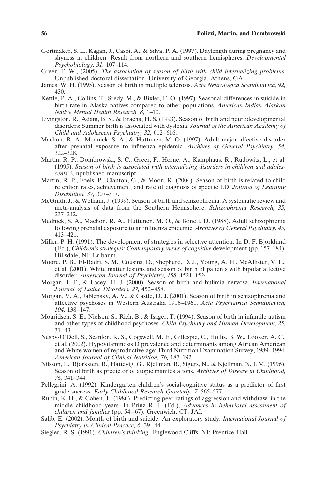- Gortmaker, S. L., Kagan, J., Caspi, A., & Silva, P. A. (1997). Daylength during pregnancy and shyness in children: Result from northern and southern hemispheres. *Developmental Psychobiology, 31,* 107–114.
- Greer, F. W., (2005). *The association of season of birth with child internalizing problems.* Unpublished doctoral dissertation. University of Georgia, Athens, GA.
- James, W. H. (1995). Season of birth in multiple sclerosis. *Acta Neurologica Scandinavica, 92,* 430.
- Kettle, P. A., Collins, T., Sredy, M., & Bixler, E. O. (1997). Seasonal differences in suicide in birth rate in Alaska natives compared to other populations. *American Indian Alaskan Native Mental Health Research, 8,* 1–10.
- Livingston, R., Adam, B. S., & Bracha, H. S. (1993). Season of birth and neurodevelopmental disorders: Summer birth is associated with dyslexia. *Journal of the American Academy of Child and Adolescent Psychiatry, 32,* 612–616.
- Machon, R. A., Mednick, S. A., & Huttunen, M. O. (1997). Adult major affective disorder after prenatal exposure to influenza epidemic. *Archives of General Psychiatry, 54,* 322–328.
- Martin, R. P., Dombrowski, S. C., Greer, F., Horne, A., Kamphaus. R., Rudowitz, L., et al. (1995). *Season of birth is associated with internalizing disorders in children and adolescents*. Unpublished manuscript.
- Martin, R. P., Foels, P., Clanton, G., & Moon, K. (2004). Season of birth is related to child retention rates, achievement, and rate of diagnosis of specific LD. *Journal of Learning Disabilities, 37,* 307–317.
- McGrath, J., & Welham, J. (1999). Season of birth and schizophrenia: A systematic review and meta-analysis of data from the Southern Hemisphere. *Schizophrenia Research, 35,* 237–242.
- Mednick, S. A., Machon, R. A., Huttunen, M. O., & Bonett, D. (1988). Adult schizophrenia following prenatal exposure to an influenza epidemic. *Archives of General Psychiatry, 45,* 413–421.
- Miller, P. H. (1991). The development of strategies in selective attention. In D. F. Bjorklund (Ed.), *Children's strategies: Contemporary views of cognitive* development (pp. 157–184). Hillsdale, NJ: Erlbaum.
- Moore, P. B., El-Badri, S. M., Cousins, D., Shepherd, D. J., Young, A. H., McAllister, V. L., et al. (2001). White matter lesions and season of birth of patients with bipolar affective disorder. *American Journal of Psychiatry, 158,* 1521–1524.
- Morgan, J. F., & Lacey, H. J. (2000). Season of birth and bulimia nervosa. *International Journal of Eating Disorders, 27,* 452–458.
- Morgan, V. A., Jablensky, A. V., & Castle, D. J. (2001). Season of birth in schizophrenia and affective psychoses in Western Australia 1916–1961. *Acta Psychiatrica Scandinavica, 104,* 138–147.
- Mouridsen, S. E., Nielsen, S., Rich, B., & Isager, T. (1994). Season of birth in infantile autism and other types of childhood psychoses. *Child Psychiatry and Human Development, 25,* 31–43.
- Nesby-O'Dell, S., Scanlon, K. S., Cogswell, M. E., Gillespie, C., Hollis, B. W., Looker, A. C., et al. (2002). Hypovitaminosis D prevalence and determinants among African American and White women of reproductive age: Third Nutrition Examination Survey, 1989–1994. *American Journal of Clinical Nutrition, 76,* 187–192.
- Nilsson, L., Bjorksten, B., Hattevig, G., Kjellman, B., Sigurs, N., & Kjellman, N. I. M. (1996). Season of birth as predictor of atopic manifestations. *Archives of Disease in Childhood, 76,* 341–344.
- Pellegrini, A. (1992). Kindergarten children's social-cognitive status as a predictor of first grade success. *Early Childhood Research Quarterly, 7,* 565–577.
- Rubin, K. H., & Cohen, J., (1986). Predicting peer ratings of aggression and withdrawl in the middle childhood years. In Prinz R. J. (Ed.), *Advances in behavioral assessment of children and families* (pp. 54–67). Greenwich, CT: JAI.
- Salib, E. (2002). Month of birth and suicide: An exploratory study. *International Journal of Psychiatry in Clinical Practice, 6,* 39–44.
- Siegler, R. S. (1991). *Children's thinking.* Englewood Cliffs, NJ: Prentice Hall.